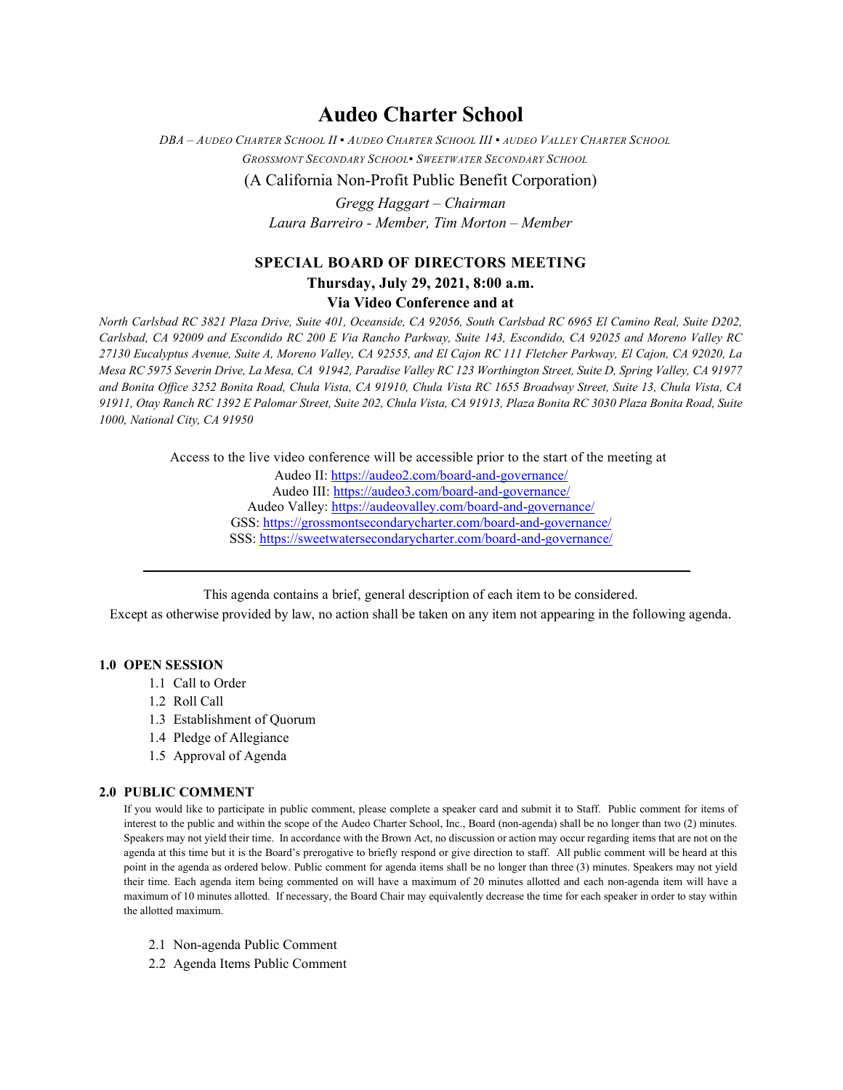# **Audeo Charter School**

*DBA – AUDEO CHARTER SCHOOL II ▪ AUDEO CHARTER SCHOOL III ▪ AUDEO VALLEY CHARTER SCHOOL GROSSMONT SECONDARY SCHOOL▪ SWEETWATER SECONDARY SCHOOL*

(A California Non-Profit Public Benefit Corporation)

*Gregg Haggart – Chairman Laura Barreiro - Member, Tim Morton – Member*

# **SPECIAL BOARD OF DIRECTORS MEETING**

# **Thursday, July 29, 2021, 8:00 a.m.**

### **Via Video Conference and at**

*North Carlsbad RC 3821 Plaza Drive, Suite 401, Oceanside, CA 92056, South Carlsbad RC 6965 El Camino Real, Suite D202, Carlsbad, CA 92009 and Escondido RC 200 E Via Rancho Parkway, Suite 143, Escondido, CA 92025 and Moreno Valley RC 27130 Eucalyptus Avenue, Suite A, Moreno Valley, CA 92555, and El Cajon RC 111 Fletcher Parkway, El Cajon, CA 92020, La Mesa RC 5975 Severin Drive, La Mesa, CA 91942, Paradise Valley RC 123 Worthington Street, Suite D, Spring Valley, CA 91977 and Bonita Office 3252 Bonita Road, Chula Vista, CA 91910, Chula Vista RC 1655 Broadway Street, Suite 13, Chula Vista, CA 91911, Otay Ranch RC 1392 E Palomar Street, Suite 202, Chula Vista, CA 91913, Plaza Bonita RC 3030 Plaza Bonita Road, Suite 1000, National City, CA 91950*

Access to the live video conference will be accessible prior to the start of the meeting at

Audeo II[: https://audeo2.com/board-and-governance/](https://audeo2.com/board-and-governance/) Audeo III:<https://audeo3.com/board-and-governance/> Audeo Valley:<https://audeovalley.com/board-and-governance/> GSS:<https://grossmontsecondarycharter.com/board-and-governance/> SSS:<https://sweetwatersecondarycharter.com/board-and-governance/>

This agenda contains a brief, general description of each item to be considered.

Except as otherwise provided by law, no action shall be taken on any item not appearing in the following agenda.

#### **1.0 OPEN SESSION**

- 1.1 Call to Order
- 1.2 Roll Call
- 1.3 Establishment of Quorum
- 1.4 Pledge of Allegiance
- 1.5 Approval of Agenda

#### **2.0 PUBLIC COMMENT**

If you would like to participate in public comment, please complete a speaker card and submit it to Staff. Public comment for items of interest to the public and within the scope of the Audeo Charter School, Inc., Board (non-agenda) shall be no longer than two (2) minutes. Speakers may not yield their time. In accordance with the Brown Act, no discussion or action may occur regarding items that are not on the agenda at this time but it is the Board's prerogative to briefly respond or give direction to staff. All public comment will be heard at this point in the agenda as ordered below. Public comment for agenda items shall be no longer than three (3) minutes. Speakers may not yield their time. Each agenda item being commented on will have a maximum of 20 minutes allotted and each non-agenda item will have a maximum of 10 minutes allotted. If necessary, the Board Chair may equivalently decrease the time for each speaker in order to stay within the allotted maximum.

- 2.1 Non-agenda Public Comment
- 2.2 Agenda Items Public Comment